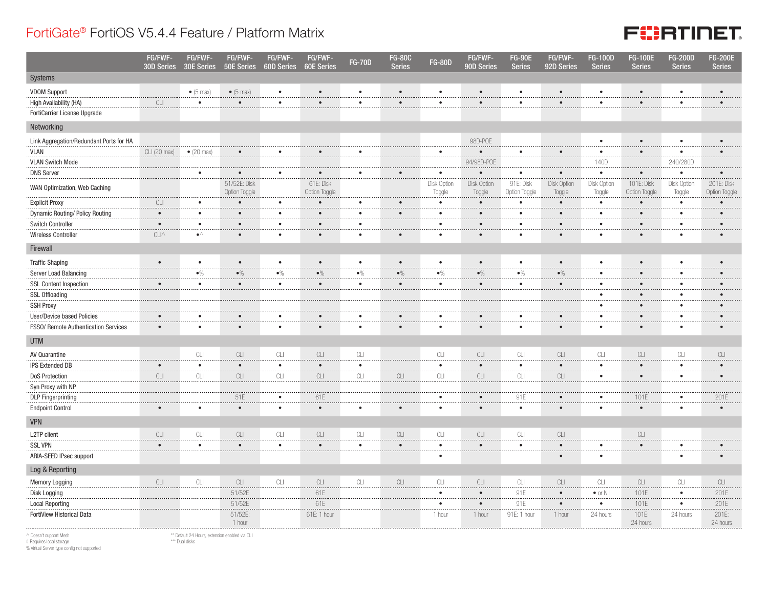## FortiGate® FortiOS V5.4.4 Feature / Platform Matrix



|                                         | FG/FWF-<br>30D Series                                                                        | FG/FWF-<br>30E Series          | FG/FWF-<br><b>50E Series</b>                                                                 | FG/FWF-<br><b>60D Series</b>                                                          | FG/FWF-<br><b>60E Series</b>                                                                 | <b>FG-70D</b>          | <b>FG-80C</b><br><b>Series</b> | <b>FG-80D</b>         | FG/FWF-<br>90D Series                                                                        | <b>FG-90E</b><br><b>Series</b> | FG/FWF-<br>92D Series                                                                        | <b>FG-100D</b><br><b>Series</b> | <b>FG-100E</b><br><b>Series</b>                                                              | <b>FG-200D</b><br><b>Series</b>                                                              | <b>FG-200E</b><br><b>Series</b>                                                              |
|-----------------------------------------|----------------------------------------------------------------------------------------------|--------------------------------|----------------------------------------------------------------------------------------------|---------------------------------------------------------------------------------------|----------------------------------------------------------------------------------------------|------------------------|--------------------------------|-----------------------|----------------------------------------------------------------------------------------------|--------------------------------|----------------------------------------------------------------------------------------------|---------------------------------|----------------------------------------------------------------------------------------------|----------------------------------------------------------------------------------------------|----------------------------------------------------------------------------------------------|
| Systems                                 |                                                                                              |                                |                                                                                              |                                                                                       |                                                                                              |                        |                                |                       |                                                                                              |                                |                                                                                              |                                 |                                                                                              |                                                                                              |                                                                                              |
| <b>VDOM Support</b>                     |                                                                                              | $\bullet$ (5 max)              | $\bullet$ (5 max)                                                                            | $\bullet$                                                                             | $\bullet$                                                                                    | $\bullet$              | $\bullet$                      | $\bullet$             | $\bullet$                                                                                    | $\bullet$                      |                                                                                              | $\bullet$                       | $\bullet$                                                                                    | $\bullet$                                                                                    |                                                                                              |
| High Availability (HA)                  | $\ensuremath{\mathbb{C}}\xspace\ensuremath{\mathbb{L}}\xspace\ensuremath{\mathbb{I}}$        | $\bullet$                      | $\bullet$                                                                                    | $\bullet$                                                                             | $\bullet$                                                                                    | $\bullet$              | $\bullet$                      | $\bullet$             | $\bullet$                                                                                    | $\bullet$                      | $\bullet$                                                                                    | $\bullet$                       | $\bullet$                                                                                    | $\bullet$                                                                                    |                                                                                              |
| FortiCarrier License Upgrade            |                                                                                              |                                |                                                                                              |                                                                                       |                                                                                              |                        |                                |                       |                                                                                              |                                |                                                                                              |                                 |                                                                                              |                                                                                              |                                                                                              |
| Networking                              |                                                                                              |                                |                                                                                              |                                                                                       |                                                                                              |                        |                                |                       |                                                                                              |                                |                                                                                              |                                 |                                                                                              |                                                                                              |                                                                                              |
| Link Aggregation/Redundant Ports for HA |                                                                                              |                                |                                                                                              |                                                                                       |                                                                                              |                        |                                |                       | 98D-POE                                                                                      |                                |                                                                                              | $\bullet$                       | $\bullet$                                                                                    | $\bullet$                                                                                    |                                                                                              |
| <b>VLAN</b>                             | CLI (20 max)                                                                                 | $\bullet$ (20 max)             | $\bullet$                                                                                    | $\bullet$                                                                             | $\bullet$                                                                                    | $\bullet$              |                                | $\bullet$             | $\bullet$                                                                                    | $\bullet$                      | $\bullet$                                                                                    | $\bullet$                       | $\bullet$                                                                                    | $\bullet$                                                                                    | $\bullet$                                                                                    |
| <b>VLAN Switch Mode</b>                 |                                                                                              |                                |                                                                                              |                                                                                       |                                                                                              |                        |                                |                       | 94/98D-POE                                                                                   |                                |                                                                                              | 140D                            |                                                                                              | 240/280D                                                                                     |                                                                                              |
| <b>DNS Server</b>                       |                                                                                              | $\bullet$                      | $\bullet$                                                                                    | $\bullet$<br>.                                                                        | $\bullet$                                                                                    | $\bullet$              | $\bullet$                      | $\bullet$<br>         | $\bullet$                                                                                    | $\bullet$                      | $\bullet$                                                                                    | $\bullet$<br>.                  | $\bullet$                                                                                    | $\bullet$<br>.                                                                               | $\bullet$                                                                                    |
| WAN Optimization, Web Caching           |                                                                                              |                                | 51/52E: Disk<br>Option Toggle                                                                |                                                                                       | 61E: Disk<br>Option Toggle                                                                   |                        |                                | Disk Option<br>Toggle | Disk Option<br>Toggle                                                                        | 91E: Disk<br>Option Toggle     | Disk Option<br>Toggle                                                                        | Disk Option<br>Toggle           | 101E: Disk<br>Option Toggle                                                                  | Disk Option<br>Toggle                                                                        | 201E: Disk<br>Option Toggle                                                                  |
| <b>Explicit Proxy</b>                   | $\ensuremath{\mathbb{C}}\xspace\ensuremath{\mathbb{L}}\xspace\ensuremath{\mathbb{L}}\xspace$ | $\bullet$                      | $\bullet$                                                                                    | $\bullet$                                                                             | $\bullet$                                                                                    | $\bullet$              | $\bullet$                      | $\bullet$             | $\bullet$                                                                                    | $\bullet$                      | $\bullet$                                                                                    | $\bullet$                       | $\bullet$                                                                                    | $\bullet$                                                                                    | $\bullet$                                                                                    |
| Dynamic Routing/ Policy Routing         | $\bullet$                                                                                    | $\bullet$                      | $\bullet$                                                                                    | $\bullet$                                                                             | $\bullet$                                                                                    | $\bullet$              | $\bullet$                      | $\bullet$             | $\bullet$                                                                                    | $\bullet$                      | $\bullet$                                                                                    | $\bullet$                       | $\bullet$                                                                                    | $\bullet$                                                                                    | $\bullet$                                                                                    |
| Switch Controller                       | $\bullet$                                                                                    | $\bullet$<br>                  | $\bullet$<br>.                                                                               | $\bullet$<br>.                                                                        | $\bullet$                                                                                    | $\bullet$              |                                | $\bullet$             | $\bullet$                                                                                    | $\bullet$                      | $\bullet$                                                                                    | $\bullet$<br>.                  | $\bullet$                                                                                    | $\bullet$<br>.                                                                               | $\bullet$                                                                                    |
| Wireless Controller                     | $CLI^{\wedge}$                                                                               | $\bullet^\wedge$               | $\bullet$                                                                                    | $\bullet$                                                                             | $\bullet$                                                                                    |                        | $\bullet$                      | $\bullet$             | $\bullet$                                                                                    | $\bullet$                      | $\bullet$                                                                                    | $\bullet$                       | $\bullet$                                                                                    | $\bullet$                                                                                    |                                                                                              |
| Firewall                                |                                                                                              |                                |                                                                                              |                                                                                       |                                                                                              |                        |                                |                       |                                                                                              |                                |                                                                                              |                                 |                                                                                              |                                                                                              |                                                                                              |
| <b>Traffic Shaping</b>                  | $\bullet$                                                                                    | $\bullet$                      | $\bullet$                                                                                    | $\bullet$                                                                             | $\bullet$                                                                                    | $\bullet$              | $\bullet$                      | $\bullet$             | $\bullet$                                                                                    | $\bullet$                      |                                                                                              | $\bullet$                       | $\bullet$                                                                                    | $\bullet$                                                                                    | $\bullet$                                                                                    |
| Server Load Balancing                   |                                                                                              | $\bullet\%$                    | $\bullet\%$                                                                                  | $\bullet\%$                                                                           | $\bullet\%$                                                                                  | $\bullet\%$            | $\bullet\%$                    | $\bullet\%$           | $\bullet\%$                                                                                  | $\bullet\%$                    | $\bullet\%$                                                                                  | $\bullet$<br>.                  | $\bullet$                                                                                    | $\bullet$<br>$\sim$ $\sim$                                                                   | $\bullet$                                                                                    |
| <b>SSL Content Inspection</b>           | $\bullet$                                                                                    | $\bullet$                      | $\bullet$                                                                                    | $\bullet$                                                                             | $\bullet$                                                                                    | $\bullet$              | $\bullet$                      | $\bullet$             | $\bullet$                                                                                    | $\bullet$                      | $\bullet$                                                                                    | $\bullet$                       | $\bullet$                                                                                    | $\bullet$                                                                                    |                                                                                              |
| <b>SSL Offloading</b>                   |                                                                                              |                                |                                                                                              |                                                                                       |                                                                                              |                        |                                |                       |                                                                                              |                                |                                                                                              | $\bullet$<br>.                  | $\bullet$                                                                                    | $\bullet$<br>$- - - -$                                                                       |                                                                                              |
| <b>SSH Proxy</b>                        |                                                                                              |                                |                                                                                              |                                                                                       |                                                                                              |                        |                                |                       |                                                                                              |                                |                                                                                              | $\bullet$                       | $\bullet$                                                                                    | $\bullet$                                                                                    |                                                                                              |
| <b>User/Device based Policies</b>       | $\bullet$                                                                                    | $\bullet$                      | $\bullet$                                                                                    | $\bullet$                                                                             | $\bullet$                                                                                    | $\bullet$              | $\bullet$                      | $\bullet$             | $\bullet$                                                                                    | $\bullet$                      | $\bullet$                                                                                    | $\bullet$                       | $\bullet$                                                                                    | $\bullet$                                                                                    | $\bullet$                                                                                    |
| FSS0/ Remote Authentication Services    | $\bullet$                                                                                    | $\bullet$                      | $\bullet$                                                                                    | $\bullet$                                                                             | $\bullet$                                                                                    | $\bullet$              | $\bullet$                      | $\bullet$             | $\bullet$                                                                                    | $\bullet$                      | $\bullet$                                                                                    | $\bullet$                       | $\bullet$                                                                                    | $\bullet$                                                                                    | $\bullet$                                                                                    |
| <b>UTM</b>                              |                                                                                              |                                |                                                                                              |                                                                                       |                                                                                              |                        |                                |                       |                                                                                              |                                |                                                                                              |                                 |                                                                                              |                                                                                              |                                                                                              |
| AV Quarantine                           |                                                                                              | CL                             | $CLI$                                                                                        | CLI                                                                                   | $\ensuremath{\mathbb{C}}\xspace\ensuremath{\mathbb{L}}\xspace\ensuremath{\mathbb{L}}\xspace$ | CL                     |                                | CLI                   | CLI                                                                                          | CL                             | CLI                                                                                          | $\mathbb{C}\square$             | $\ensuremath{\mathop{\text{CL}}}\xspace$                                                     | CL                                                                                           | CLI                                                                                          |
| <b>IPS Extended DB</b>                  | $\bullet$                                                                                    | $\bullet$                      | $\bullet$                                                                                    | $\bullet$                                                                             | $\bullet$                                                                                    | $\bullet$              |                                | $\bullet$             | $\bullet$                                                                                    | $\bullet$                      | $\bullet$                                                                                    | $\bullet$<br>.                  | $\bullet$                                                                                    | $\bullet$                                                                                    | $\bullet$                                                                                    |
| DoS Protection                          | $\ensuremath{\mathbb{C}}\xspace\ensuremath{\mathbb{L}}\xspace\ensuremath{\mathbb{L}}\xspace$ |                                | $\overbrace{\text{CL}}$                                                                      | $\overline{C}$ LI                                                                     | CLI                                                                                          | CLI                    | $\ensuremath{\textrm{CL}}$     | <br>CLI               | <br>CLI                                                                                      | $\overline{C}$                 | CLI                                                                                          | $\bullet$                       | $\bullet$                                                                                    | $\bullet$                                                                                    | $\bullet$                                                                                    |
| Syn Proxy with NP                       |                                                                                              |                                |                                                                                              |                                                                                       |                                                                                              |                        |                                |                       |                                                                                              |                                |                                                                                              |                                 |                                                                                              |                                                                                              |                                                                                              |
| <b>DLP</b> Fingerprinting               |                                                                                              |                                | 51E                                                                                          | $\bullet$                                                                             | 61E                                                                                          |                        |                                | $\bullet$             | $\bullet$                                                                                    | 91E                            | $\bullet$                                                                                    | $\bullet$                       | 101E                                                                                         | $\bullet$                                                                                    | 201E                                                                                         |
| <b>Endpoint Control</b>                 | $\bullet$                                                                                    | $\bullet$                      | $\bullet$                                                                                    | $\bullet$                                                                             | $\bullet$                                                                                    |                        | $\bullet$                      | ٠                     | $\bullet$                                                                                    | $\bullet$                      |                                                                                              | ٠                               | $\bullet$                                                                                    | $\bullet$                                                                                    | $\bullet$                                                                                    |
| <b>VPN</b>                              |                                                                                              |                                |                                                                                              |                                                                                       |                                                                                              |                        |                                |                       |                                                                                              |                                |                                                                                              |                                 |                                                                                              |                                                                                              |                                                                                              |
| L2TP client                             | $\ensuremath{\mathbb{C}}\xspace\ensuremath{\mathbb{L}}\xspace\ensuremath{\mathbb{I}}\xspace$ | $\ensuremath{\textrm{CL}}$<br> | $\ensuremath{\textrm{CL}}$                                                                   | $\ensuremath{\mathbb{C}}\xspace\ensuremath{\mathbb{L}}\xspace\ensuremath{\mathbb{I}}$ | $\ensuremath{\mathbb{C}}\xspace\ensuremath{\mathbb{L}}\xspace\ensuremath{\mathbb{L}}\xspace$ | $\mathbb{C}\mathbb{L}$ | CLI                            | CLI                   | CLI                                                                                          | $\ensuremath{\text{CL}}$       | $\ensuremath{\mathbb{C}}\xspace\ensuremath{\mathbb{L}}\xspace\ensuremath{\mathbb{L}}\xspace$ |                                 | $\ensuremath{\mathbb{C}}\xspace\ensuremath{\mathbb{L}}\xspace\ensuremath{\mathbb{L}}\xspace$ |                                                                                              |                                                                                              |
| <b>SSL VPN</b>                          | $\bullet$                                                                                    | $\bullet$                      | $\bullet$                                                                                    | $\bullet$                                                                             | $\bullet$                                                                                    | $\bullet$              | $\bullet$                      | $\bullet$             | $\bullet$                                                                                    | $\bullet$                      | $\bullet$                                                                                    | $\bullet$                       | $\bullet$                                                                                    | $\bullet$                                                                                    |                                                                                              |
| ARIA-SEED IPsec support                 |                                                                                              |                                |                                                                                              |                                                                                       |                                                                                              |                        |                                | ٠                     |                                                                                              |                                | $\bullet$                                                                                    | ٠                               |                                                                                              | $\bullet$                                                                                    |                                                                                              |
| Log & Reporting                         |                                                                                              |                                |                                                                                              |                                                                                       |                                                                                              |                        |                                |                       |                                                                                              |                                |                                                                                              |                                 |                                                                                              |                                                                                              |                                                                                              |
| <b>Memory Logging</b>                   | $CLI$                                                                                        | CLI                            | $\ensuremath{\mathbb{C}}\xspace\ensuremath{\mathbb{L}}\xspace\ensuremath{\mathbb{L}}\xspace$ | $\ensuremath{\text{CL}}$                                                              | $\ensuremath{\mathbb{C}}\xspace\ensuremath{\mathbb{L}}\xspace\ensuremath{\mathbb{L}}\xspace$ | $\mathbb{C}\mathbb{L}$ | CLI                            | CLI                   | $\ensuremath{\mathbb{C}}\xspace\ensuremath{\mathbb{L}}\xspace\ensuremath{\mathbb{I}}\xspace$ | $\ensuremath{\textrm{CL}}$     | $CLI$                                                                                        | CLI                             | $CLI$                                                                                        | $\ensuremath{\mathbb{C}}\xspace\ensuremath{\mathbb{L}}\xspace\ensuremath{\mathbb{L}}\xspace$ | $\ensuremath{\mathbb{C}}\xspace\ensuremath{\mathbb{L}}\xspace\ensuremath{\mathbb{L}}\xspace$ |
| Disk Logging                            |                                                                                              |                                | 51/52E                                                                                       |                                                                                       | 61E                                                                                          |                        |                                | $\bullet$             | $\bullet$                                                                                    | 91E                            | $\bullet$                                                                                    | $\bullet$ or Nil                | 101E                                                                                         | $\bullet$<br>.                                                                               | 201E                                                                                         |
| <b>Local Reporting</b>                  |                                                                                              |                                | 51/52E                                                                                       |                                                                                       | 61E                                                                                          |                        |                                | ٠                     | $\bullet$                                                                                    | 91E                            |                                                                                              | ٠<br>.                          | 101E                                                                                         | $\bullet$<br>$\cdots$                                                                        | 201E                                                                                         |
| FortiView Historical Data               |                                                                                              |                                | 51/52E:<br>1 hour                                                                            |                                                                                       | 61E: 1 hour                                                                                  |                        |                                | 1 hour                | 1 hour                                                                                       | 91E: 1 hour                    | 1 hour                                                                                       | 24 hours                        | 101E:<br>24 hours                                                                            | 24 hours                                                                                     | 201E:<br>24 hours                                                                            |

 $\land$  Doesn't support Mesh

\*\* Default 24 Hours, extension enabled via CLI \*\*\* Dual disks

# Requires local storage % Virtual Server type config not supported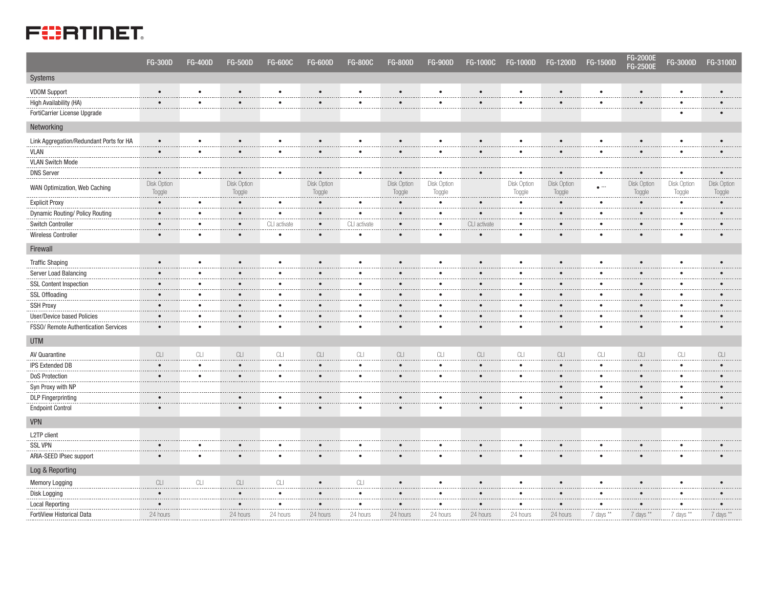## **FERTINET**

|                                         | <b>FG-300D</b>        | <b>FG-400D</b>                                                                        | <b>FG-500D</b>                         | <b>FG-600C</b>                                                                               | <b>FG-600D</b>        | <b>FG-800C</b> | <b>FG-800D</b>        | <b>FG-900D</b>        | <b>FG-1000C</b> | FG-1000D              | FG-1200D               | FG-1500D                                                                                     | <b>FG-2000E</b><br>FG-2500E  | FG-3000D              | FG-3100D              |
|-----------------------------------------|-----------------------|---------------------------------------------------------------------------------------|----------------------------------------|----------------------------------------------------------------------------------------------|-----------------------|----------------|-----------------------|-----------------------|-----------------|-----------------------|------------------------|----------------------------------------------------------------------------------------------|------------------------------|-----------------------|-----------------------|
| Systems                                 |                       |                                                                                       |                                        |                                                                                              |                       |                |                       |                       |                 |                       |                        |                                                                                              |                              |                       |                       |
| <b>VDOM Support</b>                     | $\bullet$             | $\bullet$                                                                             | $\bullet$                              | $\bullet$                                                                                    | $\bullet$             | $\bullet$      | $\bullet$             | $\bullet$             | $\bullet$       | $\bullet$             | $\bullet$              | $\bullet$                                                                                    | $\bullet$                    | $\bullet$             |                       |
| High Availability (HA)                  | $\bullet$             | $\bullet$                                                                             | $\bullet$                              | $\bullet$                                                                                    | $\bullet$             | $\bullet$      | $\bullet$             | $\bullet$             | $\bullet$       | $\bullet$             | $\bullet$              | $\bullet$                                                                                    | $\bullet$                    | $\bullet$             | $\bullet$             |
| FortiCarrier License Upgrade            |                       |                                                                                       |                                        |                                                                                              |                       |                |                       |                       |                 |                       |                        |                                                                                              |                              | $\bullet$             | $\bullet$             |
| Networking                              |                       |                                                                                       |                                        |                                                                                              |                       |                |                       |                       |                 |                       |                        |                                                                                              |                              |                       |                       |
| Link Aggregation/Redundant Ports for HA | $\bullet$             | $\bullet$                                                                             | $\bullet$                              | $\bullet$                                                                                    | $\bullet$             | $\bullet$      | $\bullet$             | $\bullet$             | $\bullet$       | $\bullet$             | $\bullet$              | $\bullet$                                                                                    | $\bullet$                    | $\bullet$             |                       |
| <b>VLAN</b>                             | $\bullet$             | $\bullet$                                                                             | $\bullet$                              | $\bullet$                                                                                    | $\bullet$             | $\bullet$      | $\bullet$             | $\bullet$             | $\bullet$       | $\bullet$             | $\bullet$              | $\bullet$                                                                                    | $\bullet$                    | $\bullet$             | $\bullet$             |
| <b>VLAN Switch Mode</b>                 |                       |                                                                                       |                                        |                                                                                              |                       |                |                       |                       |                 |                       |                        |                                                                                              |                              |                       |                       |
| <b>DNS Server</b>                       | $\bullet$             | $\bullet$                                                                             | $\bullet$                              | $\bullet$                                                                                    | $\bullet$             | ٠              | $\bullet$             | $\bullet$             | $\bullet$       | $\bullet$             | $\bullet$              | $\bullet$<br>.                                                                               | $\bullet$                    | $\bullet$<br>.        | $\bullet$<br>.        |
| WAN Optimization, Web Caching           | Disk Option<br>Toggle |                                                                                       | Disk Option<br>Toggle                  |                                                                                              | Disk Option<br>Toggle |                | Disk Option<br>Toggle | Disk Option<br>Toggle |                 | Disk Option<br>Toggle | Disk Option<br>Toggle  | $\bullet$ ***                                                                                | <b>Disk Option</b><br>Toggle | Disk Option<br>Toggle | Disk Option<br>Toggle |
| <b>Explicit Proxy</b>                   | $\bullet$             | $\bullet$                                                                             | $\bullet$                              | $\bullet$                                                                                    | $\bullet$             | $\bullet$      | $\bullet$             | $\bullet$<br>.        | $\bullet$       | $\bullet$             | $\bullet$              | $\bullet$<br>.                                                                               | $\bullet$                    | $\bullet$             | $\bullet$             |
| Dynamic Routing/ Policy Routing         | $\bullet$             | ٠                                                                                     | $\bullet$                              | $\bullet$                                                                                    | $\bullet$             | $\bullet$      | $\bullet$             | $\bullet$             | $\bullet$       | $\bullet$             | $\bullet$              | $\bullet$                                                                                    | $\bullet$                    | $\bullet$             | $\bullet$             |
| Switch Controller                       | $\bullet$             | $\bullet$<br>1.111                                                                    | $\bullet$                              | CLI activate                                                                                 | $\bullet$<br>         | CLI activate   | $\bullet$             | $\bullet$             | CLI activate    | $\bullet$             | $\bullet$              | $\bullet$<br>.                                                                               | $\bullet$                    | $\bullet$<br>.        | $\bullet$<br>.        |
| Wireless Controller                     | $\bullet$             | $\bullet$                                                                             | $\bullet$                              |                                                                                              | $\bullet$             | $\bullet$      | $\bullet$             | $\bullet$             | $\bullet$       | $\bullet$             |                        | $\bullet$                                                                                    | $\bullet$                    | $\bullet$             | $\bullet$             |
| Firewall                                |                       |                                                                                       |                                        |                                                                                              |                       |                |                       |                       |                 |                       |                        |                                                                                              |                              |                       |                       |
| <b>Traffic Shaping</b>                  | $\bullet$             | $\bullet$                                                                             | $\bullet$                              | $\bullet$                                                                                    | $\bullet$             | $\bullet$      | $\bullet$             | $\bullet$             | $\bullet$       | $\bullet$             | $\bullet$              | $\bullet$                                                                                    | $\bullet$                    | $\bullet$             | $\bullet$             |
| Server Load Balancing                   | $\bullet$             | $\bullet$                                                                             | $\bullet$                              | $\bullet$                                                                                    | $\bullet$             | $\bullet$      | $\bullet$             | $\bullet$             | $\bullet$       | $\bullet$             |                        | $\bullet$                                                                                    | $\bullet$                    | $\bullet$             | $\bullet$             |
| <b>SSL Content Inspection</b>           | $\bullet$             | $\bullet$                                                                             | $\bullet$                              | $\bullet$                                                                                    | $\bullet$             | $\bullet$      | $\bullet$             | $\bullet$             | $\bullet$       | $\bullet$             | $\bullet$              | $\bullet$                                                                                    | $\bullet$                    | $\bullet$             |                       |
| <b>SSL Offloading</b>                   | $\bullet$             | $\cdots$<br>$\bullet$                                                                 | .<br>$\bullet$                         | $\bullet$                                                                                    | $\bullet$             | $\bullet$      | $\bullet$             | $\bullet$             | $\bullet$       | $\bullet$             | $- - - -$<br>$\bullet$ | <br>$\bullet$                                                                                | $\bullet$                    | $\bullet$             | $\bullet$             |
| <b>SSH Proxy</b>                        | $\bullet$             | $\bullet$                                                                             | $\bullet$                              | $\bullet$                                                                                    | $\bullet$             | $\bullet$      | $\bullet$             | $\bullet$             | $\bullet$       | $\bullet$             | $\bullet$              | $\bullet$                                                                                    | $\bullet$                    | $\bullet$             |                       |
| User/Device based Policies              | $\bullet$             | $\bullet$                                                                             | $\bullet$                              | $\bullet$                                                                                    | $\bullet$             | ٠              | $\bullet$             | $\bullet$             | $\bullet$       | $\bullet$             | $\bullet$              | $\bullet$                                                                                    | $\bullet$                    | $\bullet$             |                       |
| FSS0/ Remote Authentication Services    | $\bullet$             | $\bullet$                                                                             | $\bullet$                              | $\bullet$                                                                                    | $\bullet$             | $\bullet$      | $\bullet$             | $\bullet$             | $\bullet$       | $\bullet$             | $\bullet$              | $\bullet$                                                                                    | $\bullet$                    | $\bullet$             | $\bullet$             |
| <b>UTM</b>                              |                       |                                                                                       |                                        |                                                                                              |                       |                |                       |                       |                 |                       |                        |                                                                                              |                              |                       |                       |
| AV Quarantine                           | CLI                   | CLI                                                                                   | CLI                                    | $\ensuremath{\mathbb{C}}\xspace\ensuremath{\mathbb{L}}\xspace\ensuremath{\mathbb{L}}\xspace$ | CLI                   | CLI            | CLI                   | CLI                   | CLI             | CLI                   | CLI                    | $\ensuremath{\mathbb{C}}\xspace\ensuremath{\mathbb{L}}\xspace\ensuremath{\mathbb{L}}\xspace$ | CLI                          | CLI                   | CLI                   |
| <b>IPS Extended DB</b>                  | $\bullet$             | $\bullet$                                                                             | $\bullet$<br>                          | $\bullet$                                                                                    | $\bullet$             | $\bullet$      | $\bullet$             | $\bullet$             | $\bullet$       | $\bullet$             |                        | $\bullet$<br>.                                                                               | $\bullet$                    | $\bullet$             | $\bullet$             |
| <b>DoS Protection</b>                   | $\bullet$             | $\bullet$                                                                             | $\bullet$                              | $\bullet$                                                                                    | $\bullet$             | $\bullet$      | $\bullet$             | $\bullet$             | $\bullet$       | $\bullet$             | $\bullet$<br>$\cdots$  | $\bullet$<br>.                                                                               | $\bullet$                    | $\bullet$<br>.        | $\bullet$             |
| Syn Proxy with NP                       |                       |                                                                                       |                                        |                                                                                              |                       |                |                       |                       |                 |                       |                        | $\bullet$                                                                                    | $\bullet$                    | $\bullet$             | $\bullet$             |
| <b>DLP Fingerprinting</b>               | $\bullet$             |                                                                                       | $\bullet$                              | $\bullet$<br>$\cdots$                                                                        | $\bullet$             | $\bullet$      | $\bullet$             | $\bullet$             | $\bullet$       | $\bullet$             | $\bullet$              | $\bullet$<br>                                                                                | $\bullet$                    | $\bullet$<br>         | $\bullet$             |
| <b>Endpoint Control</b>                 | $\bullet$             |                                                                                       | $\bullet$                              | $\bullet$                                                                                    | $\bullet$             | $\bullet$      | $\bullet$             | $\bullet$             | $\bullet$       | $\bullet$             | $\bullet$              | $\bullet$                                                                                    | $\bullet$                    | $\bullet$             |                       |
| <b>VPN</b>                              |                       |                                                                                       |                                        |                                                                                              |                       |                |                       |                       |                 |                       |                        |                                                                                              |                              |                       |                       |
| L2TP client                             |                       |                                                                                       |                                        |                                                                                              |                       |                |                       |                       |                 |                       |                        |                                                                                              |                              |                       |                       |
| <b>SSL VPN</b>                          | $\bullet$             | $\bullet$<br>$\cdots$                                                                 | $\bullet$                              | $\bullet$                                                                                    | $\bullet$             | $\bullet$      | $\bullet$             | $\bullet$             | $\bullet$       |                       | $\bullet$              | $\bullet$<br>.                                                                               | $\bullet$                    | $\bullet$<br>.        |                       |
| ARIA-SEED IPsec support                 | $\bullet$             | $\bullet$                                                                             | $\bullet$                              | $\bullet$                                                                                    | $\bullet$             | $\bullet$      | $\bullet$             | $\bullet$             | $\bullet$       | $\bullet$             | $\bullet$              | $\bullet$                                                                                    | $\bullet$                    | $\bullet$             |                       |
| Log & Reporting                         |                       |                                                                                       |                                        |                                                                                              |                       |                |                       |                       |                 |                       |                        |                                                                                              |                              |                       |                       |
| <b>Memory Logging</b>                   | CLI                   | $\ensuremath{\mathbb{C}}\xspace\ensuremath{\mathbb{L}}\xspace\ensuremath{\mathbb{I}}$ | $\ensuremath{\textrm{CL}}$<br>$\cdots$ | $\ensuremath{\textrm{CL}}$<br>.                                                              |                       | CLI<br>.       | $\bullet$             | $\bullet$             | $\bullet$       | $\bullet$             | $\bullet$              | $\bullet$<br>$\cdots$                                                                        | $\bullet$                    | $\bullet$             |                       |
| Disk Logging                            | $\bullet$             |                                                                                       | $\bullet$                              | $\bullet$                                                                                    | $\bullet$             | $\bullet$      | $\bullet$             | $\bullet$             | $\bullet$       | $\bullet$             | $\bullet$              | $\bullet$                                                                                    | $\bullet$                    | $\bullet$             |                       |
| <b>Local Reporting</b>                  | $\bullet$             |                                                                                       | $\bullet$                              | $\bullet$                                                                                    | $\bullet$             | $\bullet$      | $\bullet$             | ٠                     | $\bullet$       | $\bullet$             | $\bullet$              | $\bullet$                                                                                    | $\bullet$                    | $\bullet$             |                       |
| FortiView Historical Data               | 24 hours              |                                                                                       | 24 hours                               | 24 hours                                                                                     | 24 hours              | 24 hours       | 24 hours              | 24 hours              | 24 hours        | 24 hours              | 24 hours               | 7 days **                                                                                    | 7 days **                    | 7 days **             | 7 days **             |